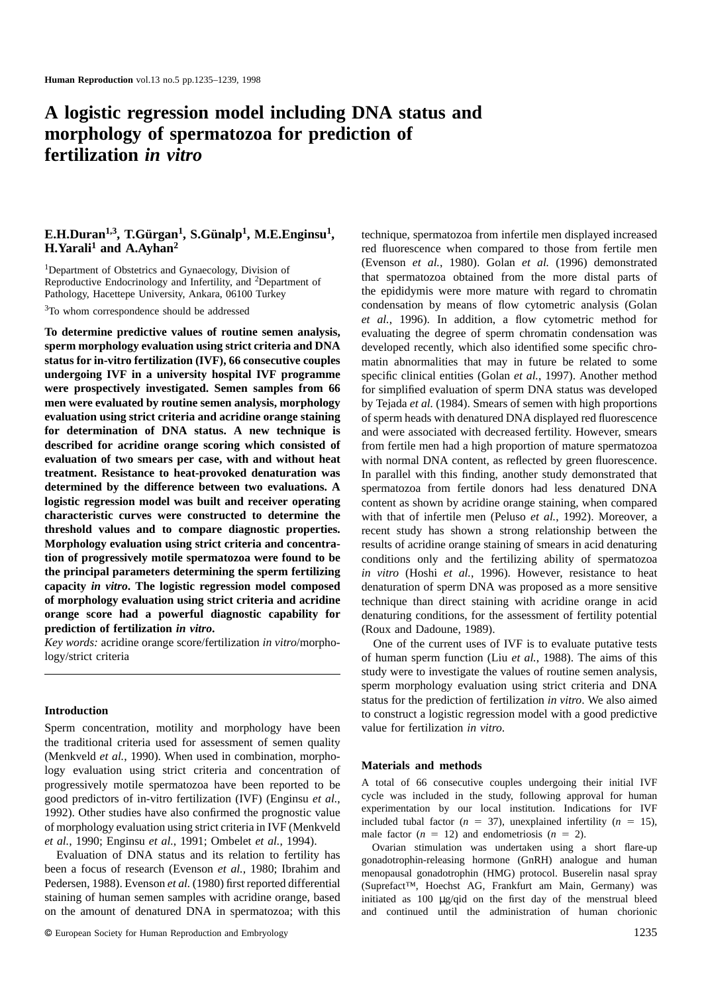# **A logistic regression model including DNA status and morphology of spermatozoa for prediction of fertilization** *in vitro*

# **E.H.Duran1,3, T.Gu¨ rgan1, S.Gu¨nalp1, M.E.Enginsu1, H.Yarali1 and A.Ayhan2**

1Department of Obstetrics and Gynaecology, Division of Reproductive Endocrinology and Infertility, and 2Department of Pathology, Hacettepe University, Ankara, 06100 Turkey

<sup>3</sup>To whom correspondence should be addressed

**To determine predictive values of routine semen analysis, sperm morphology evaluation using strict criteria and DNA status for in-vitro fertilization (IVF), 66 consecutive couples undergoing IVF in a university hospital IVF programme were prospectively investigated. Semen samples from 66 men were evaluated by routine semen analysis, morphology evaluation using strict criteria and acridine orange staining for determination of DNA status. A new technique is described for acridine orange scoring which consisted of evaluation of two smears per case, with and without heat treatment. Resistance to heat-provoked denaturation was determined by the difference between two evaluations. A logistic regression model was built and receiver operating characteristic curves were constructed to determine the threshold values and to compare diagnostic properties. Morphology evaluation using strict criteria and concentration of progressively motile spermatozoa were found to be the principal parameters determining the sperm fertilizing capacity** *in vitro***. The logistic regression model composed of morphology evaluation using strict criteria and acridine orange score had a powerful diagnostic capability for prediction of fertilization** *in vitro***.**

*Key words:* acridine orange score/fertilization *in vitro*/morphology/strict criteria

#### **Introduction**

Sperm concentration, motility and morphology have been the traditional criteria used for assessment of semen quality (Menkveld *et al.*, 1990). When used in combination, morphology evaluation using strict criteria and concentration of progressively motile spermatozoa have been reported to be good predictors of in-vitro fertilization (IVF) (Enginsu *et al.*, 1992). Other studies have also confirmed the prognostic value of morphology evaluation using strict criteria in IVF (Menkveld *et al.*, 1990; Enginsu *et al.*, 1991; Ombelet *et al.*, 1994).

Evaluation of DNA status and its relation to fertility has been a focus of research (Evenson *et al.*, 1980; Ibrahim and Pedersen, 1988). Evenson *et al.* (1980) first reported differential staining of human semen samples with acridine orange, based on the amount of denatured DNA in spermatozoa; with this technique, spermatozoa from infertile men displayed increased red fluorescence when compared to those from fertile men (Evenson *et al.*, 1980). Golan *et al.* (1996) demonstrated that spermatozoa obtained from the more distal parts of the epididymis were more mature with regard to chromatin condensation by means of flow cytometric analysis (Golan *et al.*, 1996). In addition, a flow cytometric method for evaluating the degree of sperm chromatin condensation was developed recently, which also identified some specific chromatin abnormalities that may in future be related to some specific clinical entities (Golan *et al.*, 1997). Another method for simplified evaluation of sperm DNA status was developed by Tejada *et al.* (1984). Smears of semen with high proportions of sperm heads with denatured DNA displayed red fluorescence and were associated with decreased fertility. However, smears from fertile men had a high proportion of mature spermatozoa with normal DNA content, as reflected by green fluorescence. In parallel with this finding, another study demonstrated that spermatozoa from fertile donors had less denatured DNA content as shown by acridine orange staining, when compared with that of infertile men (Peluso *et al.*, 1992). Moreover, a recent study has shown a strong relationship between the results of acridine orange staining of smears in acid denaturing conditions only and the fertilizing ability of spermatozoa *in vitro* (Hoshi *et al.*, 1996). However, resistance to heat denaturation of sperm DNA was proposed as a more sensitive technique than direct staining with acridine orange in acid denaturing conditions, for the assessment of fertility potential (Roux and Dadoune, 1989).

One of the current uses of IVF is to evaluate putative tests of human sperm function (Liu *et al.*, 1988). The aims of this study were to investigate the values of routine semen analysis, sperm morphology evaluation using strict criteria and DNA status for the prediction of fertilization *in vitro*. We also aimed to construct a logistic regression model with a good predictive value for fertilization *in vitro*.

### **Materials and methods**

A total of 66 consecutive couples undergoing their initial IVF cycle was included in the study, following approval for human experimentation by our local institution. Indications for IVF included tubal factor  $(n = 37)$ , unexplained infertility  $(n = 15)$ , male factor  $(n = 12)$  and endometriosis  $(n = 2)$ .

Ovarian stimulation was undertaken using a short flare-up gonadotrophin-releasing hormone (GnRH) analogue and human menopausal gonadotrophin (HMG) protocol. Buserelin nasal spray (Suprefact™, Hoechst AG, Frankfurt am Main, Germany) was initiated as 100 µg/qid on the first day of the menstrual bleed and continued until the administration of human chorionic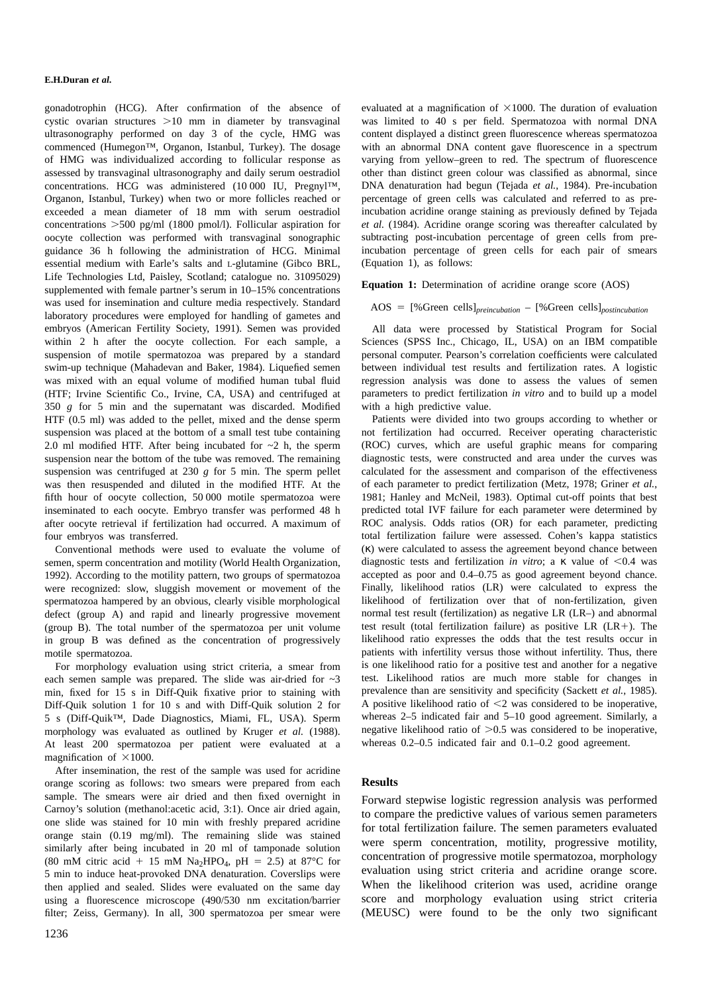### **E.H.Duran** *et al***.**

gonadotrophin (HCG). After confirmation of the absence of cystic ovarian structures  $>10$  mm in diameter by transvaginal ultrasonography performed on day 3 of the cycle, HMG was commenced (Humegon™, Organon, Istanbul, Turkey). The dosage of HMG was individualized according to follicular response as assessed by transvaginal ultrasonography and daily serum oestradiol concentrations. HCG was administered (10 000 IU, Pregnyl™, Organon, Istanbul, Turkey) when two or more follicles reached or exceeded a mean diameter of 18 mm with serum oestradiol concentrations  $>500$  pg/ml (1800 pmol/l). Follicular aspiration for oocyte collection was performed with transvaginal sonographic guidance 36 h following the administration of HCG. Minimal essential medium with Earle's salts and L-glutamine (Gibco BRL, Life Technologies Ltd, Paisley, Scotland; catalogue no. 31095029) supplemented with female partner's serum in 10–15% concentrations was used for insemination and culture media respectively. Standard laboratory procedures were employed for handling of gametes and embryos (American Fertility Society, 1991). Semen was provided within 2 h after the oocyte collection. For each sample, a suspension of motile spermatozoa was prepared by a standard swim-up technique (Mahadevan and Baker, 1984). Liquefied semen was mixed with an equal volume of modified human tubal fluid (HTF; Irvine Scientific Co., Irvine, CA, USA) and centrifuged at 350 *g* for 5 min and the supernatant was discarded. Modified HTF (0.5 ml) was added to the pellet, mixed and the dense sperm suspension was placed at the bottom of a small test tube containing 2.0 ml modified HTF. After being incubated for  $\sim$ 2 h, the sperm suspension near the bottom of the tube was removed. The remaining suspension was centrifuged at 230  $g$  for 5 min. The sperm pellet was then resuspended and diluted in the modified HTF. At the fifth hour of oocyte collection, 50 000 motile spermatozoa were inseminated to each oocyte. Embryo transfer was performed 48 h after oocyte retrieval if fertilization had occurred. A maximum of four embryos was transferred.

Conventional methods were used to evaluate the volume of semen, sperm concentration and motility (World Health Organization, 1992). According to the motility pattern, two groups of spermatozoa were recognized: slow, sluggish movement or movement of the spermatozoa hampered by an obvious, clearly visible morphological defect (group A) and rapid and linearly progressive movement (group B). The total number of the spermatozoa per unit volume in group B was defined as the concentration of progressively motile spermatozoa.

For morphology evaluation using strict criteria, a smear from each semen sample was prepared. The slide was air-dried for  $\sim$ 3 min, fixed for 15 s in Diff-Quik fixative prior to staining with Diff-Quik solution 1 for 10 s and with Diff-Quik solution 2 for 5 s (Diff-Quik™, Dade Diagnostics, Miami, FL, USA). Sperm morphology was evaluated as outlined by Kruger *et al.* (1988). At least 200 spermatozoa per patient were evaluated at a magnification of  $\times 1000$ .

After insemination, the rest of the sample was used for acridine orange scoring as follows: two smears were prepared from each sample. The smears were air dried and then fixed overnight in Carnoy's solution (methanol:acetic acid, 3:1). Once air dried again, one slide was stained for 10 min with freshly prepared acridine orange stain (0.19 mg/ml). The remaining slide was stained similarly after being incubated in 20 ml of tamponade solution (80 mM citric acid + 15 mM Na<sub>2</sub>HPO<sub>4</sub>, pH = 2.5) at 87<sup>°</sup>C for 5 min to induce heat-provoked DNA denaturation. Coverslips were then applied and sealed. Slides were evaluated on the same day using a fluorescence microscope (490/530 nm excitation/barrier filter; Zeiss, Germany). In all, 300 spermatozoa per smear were

evaluated at a magnification of  $\times$ 1000. The duration of evaluation was limited to 40 s per field. Spermatozoa with normal DNA content displayed a distinct green fluorescence whereas spermatozoa with an abnormal DNA content gave fluorescence in a spectrum varying from yellow–green to red. The spectrum of fluorescence other than distinct green colour was classified as abnormal, since DNA denaturation had begun (Tejada *et al.*, 1984). Pre-incubation percentage of green cells was calculated and referred to as preincubation acridine orange staining as previously defined by Tejada *et al.* (1984). Acridine orange scoring was thereafter calculated by subtracting post-incubation percentage of green cells from preincubation percentage of green cells for each pair of smears (Equation 1), as follows:

**Equation 1:** Determination of acridine orange score (AOS)

# AOS 5 [%Green cells]*preincubation* – [%Green cells]*postincubation*

All data were processed by Statistical Program for Social Sciences (SPSS Inc., Chicago, IL, USA) on an IBM compatible personal computer. Pearson's correlation coefficients were calculated between individual test results and fertilization rates. A logistic regression analysis was done to assess the values of semen parameters to predict fertilization *in vitro* and to build up a model with a high predictive value.

Patients were divided into two groups according to whether or not fertilization had occurred. Receiver operating characteristic (ROC) curves, which are useful graphic means for comparing diagnostic tests, were constructed and area under the curves was calculated for the assessment and comparison of the effectiveness of each parameter to predict fertilization (Metz, 1978; Griner *et al.*, 1981; Hanley and McNeil, 1983). Optimal cut-off points that best predicted total IVF failure for each parameter were determined by ROC analysis. Odds ratios (OR) for each parameter, predicting total fertilization failure were assessed. Cohen's kappa statistics (κ) were calculated to assess the agreement beyond chance between diagnostic tests and fertilization *in vitro*; a κ value of <0.4 was accepted as poor and 0.4–0.75 as good agreement beyond chance. Finally, likelihood ratios (LR) were calculated to express the likelihood of fertilization over that of non-fertilization, given normal test result (fertilization) as negative LR (LR–) and abnormal test result (total fertilization failure) as positive LR  $(LR+)$ . The likelihood ratio expresses the odds that the test results occur in patients with infertility versus those without infertility. Thus, there is one likelihood ratio for a positive test and another for a negative test. Likelihood ratios are much more stable for changes in prevalence than are sensitivity and specificity (Sackett *et al.*, 1985). A positive likelihood ratio of  $\leq$  2 was considered to be inoperative, whereas 2–5 indicated fair and 5–10 good agreement. Similarly, a negative likelihood ratio of  $>0.5$  was considered to be inoperative, whereas 0.2–0.5 indicated fair and 0.1–0.2 good agreement.

## **Results**

Forward stepwise logistic regression analysis was performed to compare the predictive values of various semen parameters for total fertilization failure. The semen parameters evaluated were sperm concentration, motility, progressive motility, concentration of progressive motile spermatozoa, morphology evaluation using strict criteria and acridine orange score. When the likelihood criterion was used, acridine orange score and morphology evaluation using strict criteria (MEUSC) were found to be the only two significant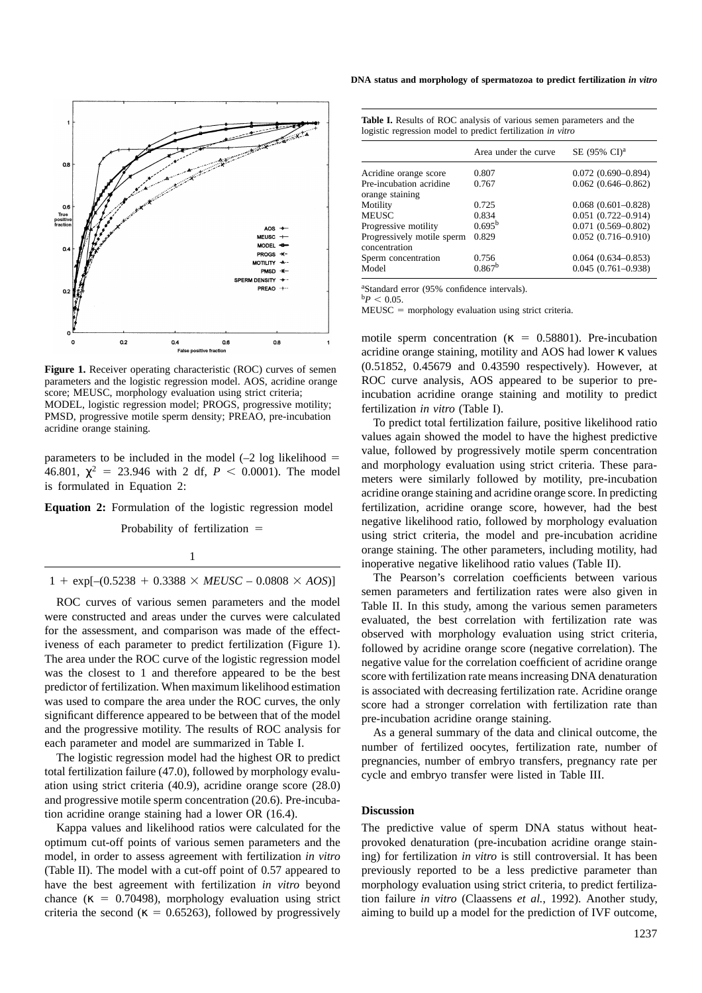

**Figure 1.** Receiver operating characteristic (ROC) curves of semen parameters and the logistic regression model. AOS, acridine orange score; MEUSC, morphology evaluation using strict criteria; MODEL, logistic regression model; PROGS, progressive motility; PMSD, progressive motile sperm density; PREAO, pre-incubation acridine orange staining.

parameters to be included in the model  $(-2 \log 1)$ ikelihood = 46.801,  $\gamma^2 = 23.946$  with 2 df,  $P < 0.0001$ ). The model is formulated in Equation 2:

**Equation 2:** Formulation of the logistic regression model

Probability of fertilization =

1

 $1 + \exp[-(0.5238 + 0.3388 \times \text{MEUSC} - 0.0808 \times \text{AOS})]$ 

ROC curves of various semen parameters and the model were constructed and areas under the curves were calculated for the assessment, and comparison was made of the effectiveness of each parameter to predict fertilization (Figure 1). The area under the ROC curve of the logistic regression model was the closest to 1 and therefore appeared to be the best predictor of fertilization. When maximum likelihood estimation was used to compare the area under the ROC curves, the only significant difference appeared to be between that of the model and the progressive motility. The results of ROC analysis for each parameter and model are summarized in Table I.

The logistic regression model had the highest OR to predict total fertilization failure (47.0), followed by morphology evaluation using strict criteria (40.9), acridine orange score (28.0) and progressive motile sperm concentration (20.6). Pre-incubation acridine orange staining had a lower OR (16.4).

Kappa values and likelihood ratios were calculated for the optimum cut-off points of various semen parameters and the model, in order to assess agreement with fertilization *in vitro* (Table II). The model with a cut-off point of 0.57 appeared to have the best agreement with fertilization *in vitro* beyond chance ( $\kappa = 0.70498$ ), morphology evaluation using strict criteria the second ( $\kappa = 0.65263$ ), followed by progressively

**DNA status and morphology of spermatozoa to predict fertilization** *in vitro*

|                                             | Area under the curve | SE (95% CI) <sup>a</sup>  |  |
|---------------------------------------------|----------------------|---------------------------|--|
| Acridine orange score                       | 0.807                | $0.072(0.690 - 0.894)$    |  |
| Pre-incubation acridine<br>orange staining  | 0.767                | $0.062(0.646 - 0.862)$    |  |
| Motility                                    | 0.725                | $0.068$ $(0.601 - 0.828)$ |  |
| <b>MEUSC</b>                                | 0.834                | $0.051(0.722 - 0.914)$    |  |
| Progressive motility                        | 0.695 <sup>b</sup>   | $0.071$ $(0.569 - 0.802)$ |  |
| Progressively motile sperm<br>concentration | 0.829                | $0.052(0.716 - 0.910)$    |  |
| Sperm concentration                         | 0.756                | $0.064(0.634 - 0.853)$    |  |
| Model                                       | 0.867 <sup>b</sup>   | $0.045(0.761 - 0.938)$    |  |

**Table I.** Results of ROC analysis of various semen parameters and the logistic regression model to predict fertilization *in vitro*

a Standard error (95% confidence intervals).  $b$ *P*  $< 0.05$ .

 $MEUSC = morphology$  evaluation using strict criteria.

motile sperm concentration ( $\kappa = 0.58801$ ). Pre-incubation acridine orange staining, motility and AOS had lower κ values (0.51852, 0.45679 and 0.43590 respectively). However, at ROC curve analysis, AOS appeared to be superior to preincubation acridine orange staining and motility to predict fertilization *in vitro* (Table I).

To predict total fertilization failure, positive likelihood ratio values again showed the model to have the highest predictive value, followed by progressively motile sperm concentration and morphology evaluation using strict criteria. These parameters were similarly followed by motility, pre-incubation acridine orange staining and acridine orange score. In predicting fertilization, acridine orange score, however, had the best negative likelihood ratio, followed by morphology evaluation using strict criteria, the model and pre-incubation acridine orange staining. The other parameters, including motility, had inoperative negative likelihood ratio values (Table II).

The Pearson's correlation coefficients between various semen parameters and fertilization rates were also given in Table II. In this study, among the various semen parameters evaluated, the best correlation with fertilization rate was observed with morphology evaluation using strict criteria, followed by acridine orange score (negative correlation). The negative value for the correlation coefficient of acridine orange score with fertilization rate means increasing DNA denaturation is associated with decreasing fertilization rate. Acridine orange score had a stronger correlation with fertilization rate than pre-incubation acridine orange staining.

As a general summary of the data and clinical outcome, the number of fertilized oocytes, fertilization rate, number of pregnancies, number of embryo transfers, pregnancy rate per cycle and embryo transfer were listed in Table III.

# **Discussion**

The predictive value of sperm DNA status without heatprovoked denaturation (pre-incubation acridine orange staining) for fertilization *in vitro* is still controversial. It has been previously reported to be a less predictive parameter than morphology evaluation using strict criteria, to predict fertilization failure *in vitro* (Claassens *et al.*, 1992). Another study, aiming to build up a model for the prediction of IVF outcome,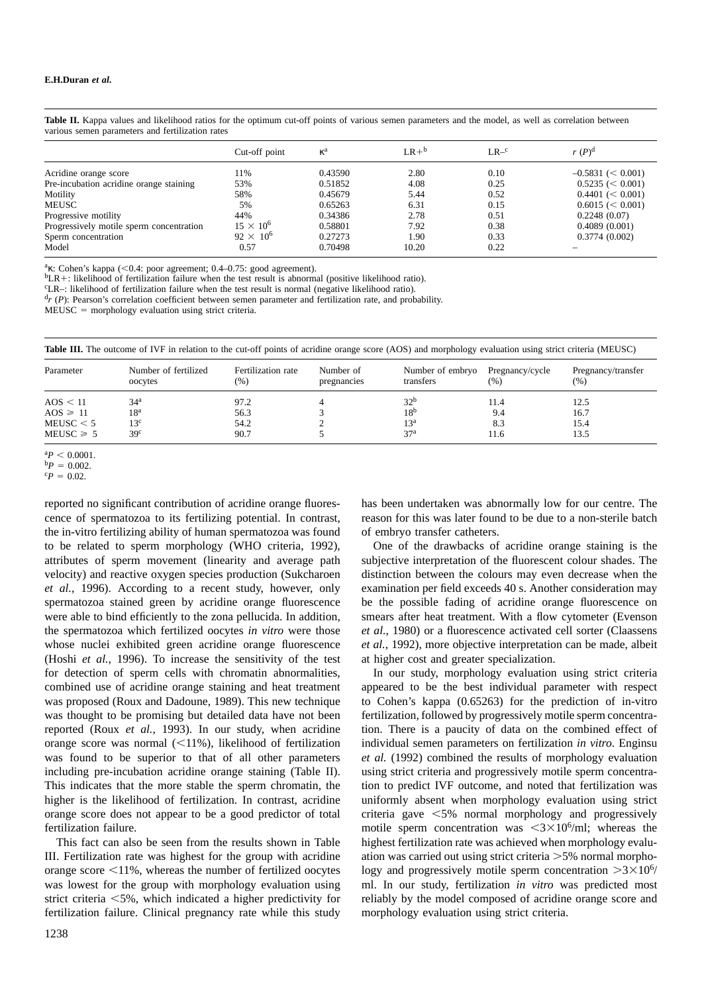|                                          | Cut-off point      | $\kappa^a$ | $LR +b$ | $LR - c$ | $r(P)^d$             |
|------------------------------------------|--------------------|------------|---------|----------|----------------------|
| Acridine orange score                    | 11%                | 0.43590    | 2.80    | 0.10     | $-0.5831 \leq 0.001$ |
| Pre-incubation acridine orange staining  | 53%                | 0.51852    | 4.08    | 0.25     | $0.5235 \leq 0.001$  |
| Motility                                 | 58%                | 0.45679    | 5.44    | 0.52     | $0.4401 \leq 0.001$  |
| <b>MEUSC</b>                             | 5%                 | 0.65263    | 6.31    | 0.15     | $0.6015 \leq 0.001$  |
| Progressive motility                     | 44%                | 0.34386    | 2.78    | 0.51     | 0.2248(0.07)         |
| Progressively motile sperm concentration | $15 \times 10^6$   | 0.58801    | 7.92    | 0.38     | 0.4089(0.001)        |
| Sperm concentration                      | $92 \times 10^{6}$ | 0.27273    | 1.90    | 0.33     | 0.3774(0.002)        |
| Model                                    | 0.57               | 0.70498    | 10.20   | 0.22     |                      |

**Table II.** Kappa values and likelihood ratios for the optimum cut-off points of various semen parameters and the model, as well as correlation between various semen parameters and fertilization rates

 ${}^{\text{a}}\kappa$ : Cohen's kappa (<0.4: poor agreement; 0.4–0.75: good agreement).

 ${}^{b}LR+$ : likelihood of fertilization failure when the test result is abnormal (positive likelihood ratio).

LR–: likelihood of fertilization failure when the test result is normal (negative likelihood ratio).

 $\binom{d_r}{r}$  (*P*): Pearson's correlation coefficient between semen parameter and fertilization rate, and probability.

 $MEUSC = morphology$  evaluation using strict criteria.

| Table III. The outcome of IVF in relation to the cut-off points of acridine orange score (AOS) and morphology evaluation using strict criteria (MEUSC) |  |  |  |  |
|--------------------------------------------------------------------------------------------------------------------------------------------------------|--|--|--|--|
|--------------------------------------------------------------------------------------------------------------------------------------------------------|--|--|--|--|

| Parameter      | Number of fertilized<br>oocytes | Fertilization rate<br>(%) | Number of<br>pregnancies | Number of embryo<br>transfers | Pregnancy/cycle<br>(%) | Pregnancy/transfer<br>(% ) |
|----------------|---------------------------------|---------------------------|--------------------------|-------------------------------|------------------------|----------------------------|
| AOS < 11       | 34 <sup>a</sup>                 | 97.2                      |                          | 32 <sup>b</sup>               | 11.4                   | 12.5                       |
| $AOS \geq 11$  | 18ª                             | 56.3                      |                          | 18 <sup>b</sup>               | 9.4                    | 16.7                       |
| MEUSC < 5      | 13°                             | 54.2                      |                          | 13 <sup>a</sup>               | 8.3                    | 15.4                       |
| $MEUSC \geq 5$ | 39 <sup>c</sup>                 | 90.7                      |                          | 37 <sup>a</sup>               | 11.6                   | 13.5                       |

 ${}^{a}P$  < 0.0001.

 $^{b}P = 0.002$ .

 ${}^{c}P = 0.02$ .

reported no significant contribution of acridine orange fluorescence of spermatozoa to its fertilizing potential. In contrast, the in-vitro fertilizing ability of human spermatozoa was found to be related to sperm morphology (WHO criteria, 1992), attributes of sperm movement (linearity and average path velocity) and reactive oxygen species production (Sukcharoen *et al.*, 1996). According to a recent study, however, only spermatozoa stained green by acridine orange fluorescence were able to bind efficiently to the zona pellucida. In addition, the spermatozoa which fertilized oocytes *in vitro* were those whose nuclei exhibited green acridine orange fluorescence (Hoshi *et al.*, 1996). To increase the sensitivity of the test for detection of sperm cells with chromatin abnormalities, combined use of acridine orange staining and heat treatment was proposed (Roux and Dadoune, 1989). This new technique was thought to be promising but detailed data have not been reported (Roux *et al.*, 1993). In our study, when acridine orange score was normal  $\left( \langle 11\% \rangle \right)$ , likelihood of fertilization was found to be superior to that of all other parameters including pre-incubation acridine orange staining (Table II). This indicates that the more stable the sperm chromatin, the higher is the likelihood of fertilization. In contrast, acridine orange score does not appear to be a good predictor of total fertilization failure.

This fact can also be seen from the results shown in Table III. Fertilization rate was highest for the group with acridine orange score  $\leq$ 11%, whereas the number of fertilized oocytes was lowest for the group with morphology evaluation using strict criteria  $\leq 5\%$ , which indicated a higher predictivity for fertilization failure. Clinical pregnancy rate while this study

has been undertaken was abnormally low for our centre. The reason for this was later found to be due to a non-sterile batch of embryo transfer catheters.

One of the drawbacks of acridine orange staining is the subjective interpretation of the fluorescent colour shades. The distinction between the colours may even decrease when the examination per field exceeds 40 s. Another consideration may be the possible fading of acridine orange fluorescence on smears after heat treatment. With a flow cytometer (Evenson *et al.*, 1980) or a fluorescence activated cell sorter (Claassens *et al.*, 1992), more objective interpretation can be made, albeit at higher cost and greater specialization.

In our study, morphology evaluation using strict criteria appeared to be the best individual parameter with respect to Cohen's kappa (0.65263) for the prediction of in-vitro fertilization, followed by progressively motile sperm concentration. There is a paucity of data on the combined effect of individual semen parameters on fertilization *in vitro*. Enginsu *et al.* (1992) combined the results of morphology evaluation using strict criteria and progressively motile sperm concentration to predict IVF outcome, and noted that fertilization was uniformly absent when morphology evaluation using strict criteria gave  $\leq 5\%$  normal morphology and progressively motile sperm concentration was  $\langle 3 \times 10^6 / \text{ml} \rangle$ ; whereas the highest fertilization rate was achieved when morphology evaluation was carried out using strict criteria  $>5\%$  normal morphology and progressively motile sperm concentration  $>3\times10^{6}$ / ml. In our study, fertilization *in vitro* was predicted most reliably by the model composed of acridine orange score and morphology evaluation using strict criteria.